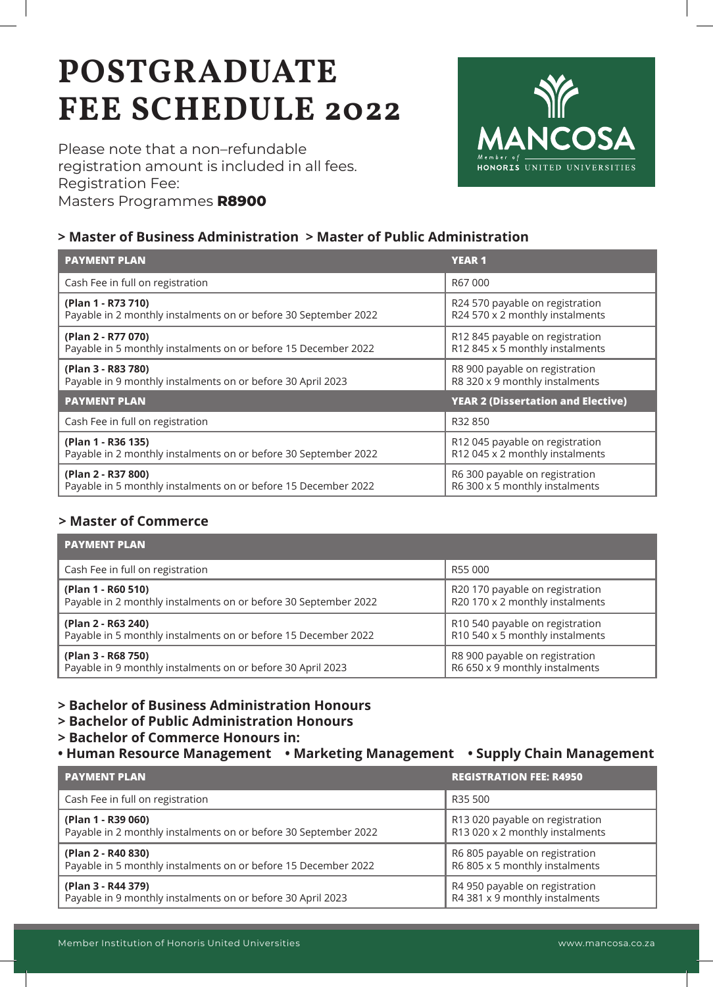# **POSTGRADUATE FEE SCHEDULE 2022**

Please note that a non–refundable registration amount is included in all fees. Registration Fee: Masters Programmes **R8900**



#### **> Master of Business Administration > Master of Public Administration**

| <b>PAYMENT PLAN</b>                                             | <b>YEAR 1</b>                             |
|-----------------------------------------------------------------|-------------------------------------------|
| Cash Fee in full on registration                                | R67000                                    |
| (Plan 1 - R73 710)                                              | R24 570 payable on registration           |
| Payable in 2 monthly instalments on or before 30 September 2022 | R24 570 x 2 monthly instalments           |
| (Plan 2 - R77 070)                                              | R12 845 payable on registration           |
| Payable in 5 monthly instalments on or before 15 December 2022  | R12 845 x 5 monthly instalments           |
| (Plan 3 - R83 780)                                              | R8 900 payable on registration            |
| Payable in 9 monthly instalments on or before 30 April 2023     | R8 320 x 9 monthly instalments            |
| <b>PAYMENT PLAN</b>                                             | <b>YEAR 2 (Dissertation and Elective)</b> |
| Cash Fee in full on registration                                | R32 850                                   |
| (Plan 1 - R36 135)                                              | R12 045 payable on registration           |
| Payable in 2 monthly instalments on or before 30 September 2022 | R12 045 x 2 monthly instalments           |
| (Plan 2 - R37 800)                                              | R6 300 payable on registration            |
| Payable in 5 monthly instalments on or before 15 December 2022  | R6 300 x 5 monthly instalments            |

#### **> Master of Commerce**

| <b>PAYMENT PLAN</b>                                             |                                 |
|-----------------------------------------------------------------|---------------------------------|
| Cash Fee in full on registration                                | R55 000                         |
| (Plan 1 - R60 510)                                              | R20 170 payable on registration |
| Payable in 2 monthly instalments on or before 30 September 2022 | R20 170 x 2 monthly instalments |
| (Plan 2 - R63 240)                                              | R10 540 payable on registration |
| Payable in 5 monthly instalments on or before 15 December 2022  | R10 540 x 5 monthly instalments |
| (Plan 3 - R68 750)                                              | R8 900 payable on registration  |
| Payable in 9 monthly instalments on or before 30 April 2023     | R6 650 x 9 monthly instalments  |

#### **> Bachelor of Business Administration Honours**

- **> Bachelor of Public Administration Honours**
- **> Bachelor of Commerce Honours in:**
- **Human Resource Management Marketing Management Supply Chain Management**

| <b>PAYMENT PLAN</b>                                             | <b>REGISTRATION FEE: R4950</b>  |
|-----------------------------------------------------------------|---------------------------------|
| Cash Fee in full on registration                                | R35 500                         |
| (Plan 1 - R39 060)                                              | R13 020 payable on registration |
| Payable in 2 monthly instalments on or before 30 September 2022 | R13 020 x 2 monthly instalments |
| (Plan 2 - R40 830)                                              | R6 805 payable on registration  |
| Payable in 5 monthly instalments on or before 15 December 2022  | R6 805 x 5 monthly instalments  |
| (Plan 3 - R44 379)                                              | R4 950 payable on registration  |
| Payable in 9 monthly instalments on or before 30 April 2023     | R4 381 x 9 monthly instalments  |